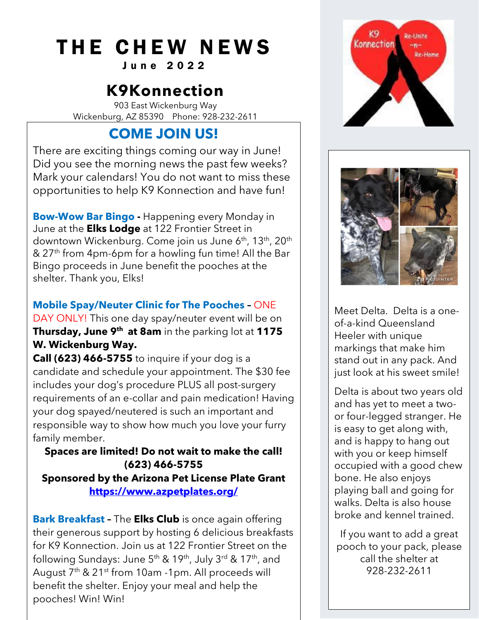# THE CHEW NEWS

J u n e 2022

## **K9Konnection**

903 East Wickenburg Way Wickenburg, AZ 85390 Phone: 928-232-2611

## **COME JOIN US!**

There are exciting things coming our way in June! Did you see the morning news the past few weeks? Mark your calendars! You do not want to miss these opportunities to help K9 Konnection and have fun!

**Bow-Wow Bar Bingo -** Happening every Monday in June at the **Elks Lodge** at 122 Frontier Street in downtown Wickenburg. Come join us June 6<sup>th</sup>, 13<sup>th</sup>, 20<sup>th</sup> & 27<sup>th</sup> from 4pm-6pm for a howling fun time! All the Bar Bingo proceeds in June benefit the pooches at the shelter. Thank you, Elks!

**Mobile Spay/Neuter Clinic for The Pooches –** ONE DAY ONLY! This one day spay/neuter event will be on **Thursday, June 9 th at 8am** in the parking lot at **1175 W. Wickenburg Way.**

**Call (623) 466-5755** to inquire if your dog is a candidate and schedule your appointment. The \$30 fee includes your dog's procedure PLUS all post-surgery requirements of an e-collar and pain medication! Having your dog spayed/neutered is such an important and responsible way to show how much you love your furry family member.

#### **Spaces are limited! Do not wait to make the call! (623) 466-5755 Sponsored by the Arizona Pet License Plate Grant <https://www.azpetplates.org/>**

**Bark Breakfast –** The **Elks Club** is once again offering their generous support by hosting 6 delicious breakfasts for K9 Konnection. Join us at 122 Frontier Street on the following Sundays: June 5<sup>th</sup> & 19<sup>th</sup>, July 3<sup>rd</sup> & 17<sup>th</sup>, and August 7<sup>th</sup> & 21<sup>st</sup> from 10am -1pm. All proceeds will benefit the shelter. Enjoy your meal and help the pooches! Win! Win!





Meet Delta. Delta is a oneof-a-kind Queensland Heeler with unique markings that make him stand out in any pack. And just look at his sweet smile!

Delta is about two years old and has yet to meet a twoor four-legged stranger. He is easy to get along with, and is happy to hang out with you or keep himself occupied with a good chew bone. He also enjoys playing ball and going for walks. Delta is also house broke and kennel trained.

If you want to add a great pooch to your pack, please call the shelter at 928-232-2611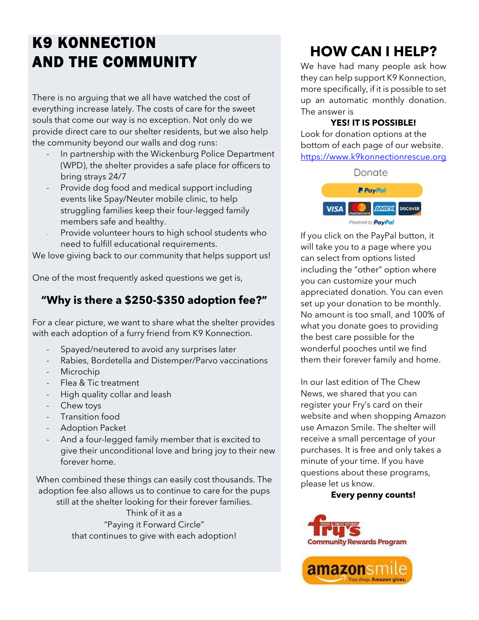## K9 KONNECTION AND THE COMMUNITY

There is no arguing that we all have watched the cost of everything increase lately. The costs of care for the sweet souls that come our way is no exception. Not only do we provide direct care to our shelter residents, but we also help the community beyond our walls and dog runs:

- In partnership with the Wickenburg Police Department (WPD), the shelter provides a safe place for officers to bring strays 24/7
- Provide dog food and medical support including events like Spay/Neuter mobile clinic, to help struggling families keep their four-legged family members safe and healthy.
- Provide volunteer hours to high school students who need to fulfill educational requirements.

We love giving back to our community that helps support us!

One of the most frequently asked questions we get is,

## **"Why is there a \$250-\$350 adoption fee?"**

For a clear picture, we want to share what the shelter provides with each adoption of a furry friend from K9 Konnection.

- Spayed/neutered to avoid any surprises later
- Rabies, Bordetella and Distemper/Parvo vaccinations
- **Microchip**
- Flea & Tic treatment
- High quality collar and leash
- Chew toys
- Transition food
- Adoption Packet
- And a four-legged family member that is excited to give their unconditional love and bring joy to their new forever home.

When combined these things can easily cost thousands. The adoption fee also allows us to continue to care for the pups still at the shelter looking for their forever families.

Think of it as a "Paying it Forward Circle" that continues to give with each adoption!

## **HOW CAN I HELP?**

We have had many people ask how they can help support K9 Konnection, more specifically, if it is possible to set up an automatic monthly donation. The answer is

#### **YES! IT IS POSSIBLE!**

Look for donation options at the bottom of each page of our website. [https://www.k9konnectionrescue.org](about:blank)



If you click on the PayPal button, it will take you to a page where you can select from options listed including the "other" option where you can customize your much appreciated donation. You can even set up your donation to be monthly. No amount is too small, and 100% of what you donate goes to providing the best care possible for the wonderful pooches until we find them their forever family and home.

In our last edition of The Chew News, we shared that you can register your Fry's card on their website and when shopping Amazon use Amazon Smile. The shelter will receive a small percentage of your purchases. It is free and only takes a minute of your time. If you have questions about these programs, please let us know.

#### **Every penny counts!**